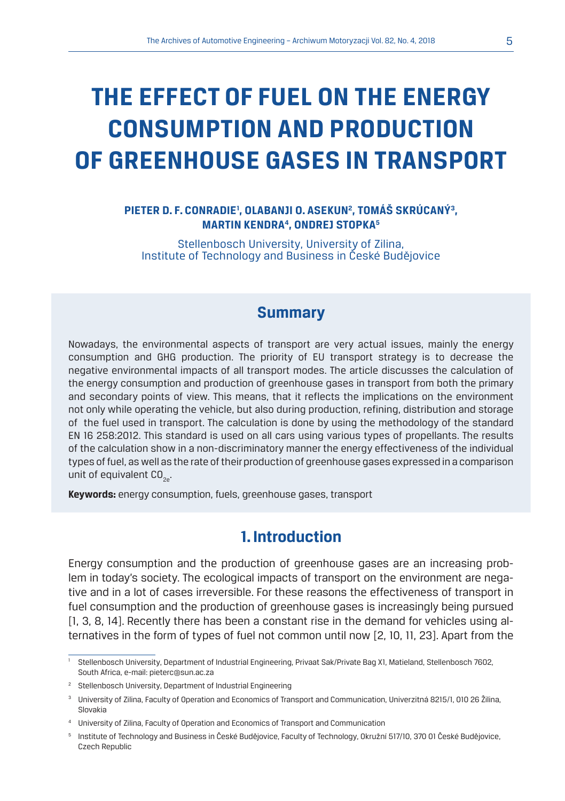# **THE EFFECT OF FUEL ON THE ENERGY CONSUMPTION AND PRODUCTION OF GREENHOUSE GASES IN TRANSPORT**

#### PIETER D. F. CONRADIE', OLABANJI O. ASEKUN<sup>2</sup>, TOMÁŠ SKRÚCANÝ<sup>3</sup>, **MARTIN KENDRA4, ONDREJ STOPKA5**

Stellenbosch University, University of Zilina, Institute of Technology and Business in České Budějovice

## **Summary**

Nowadays, the environmental aspects of transport are very actual issues, mainly the energy consumption and GHG production. The priority of EU transport strategy is to decrease the negative environmental impacts of all transport modes. The article discusses the calculation of the energy consumption and production of greenhouse gases in transport from both the primary and secondary points of view. This means, that it reflects the implications on the environment not only while operating the vehicle, but also during production, refining, distribution and storage of the fuel used in transport. The calculation is done by using the methodology of the standard EN 16 258:2012. This standard is used on all cars using various types of propellants. The results of the calculation show in a non-discriminatory manner the energy effectiveness of the individual types of fuel, as well as the rate of their production of greenhouse gases expressed in a comparison unit of equivalent  $CO<sub>2</sub>$ .

**Keywords:** energy consumption, fuels, greenhouse gases, transport

## **1. Introduction**

Energy consumption and the production of greenhouse gases are an increasing problem in today's society. The ecological impacts of transport on the environment are negative and in a lot of cases irreversible. For these reasons the effectiveness of transport in fuel consumption and the production of greenhouse gases is increasingly being pursued [1, 3, 8, 14]. Recently there has been a constant rise in the demand for vehicles using alternatives in the form of types of fuel not common until now [2, 10, 11, 23]. Apart from the

<sup>1</sup> Stellenbosch University, Department of Industrial Engineering, Privaat Sak/Private Bag X1, Matieland, Stellenbosch 7602, South Africa, e-mail: pieterc@sun.ac.za

<sup>&</sup>lt;sup>2</sup> Stellenbosch University, Department of Industrial Engineering

<sup>3</sup> University of Zilina, Faculty of Operation and Economics of Transport and Communication, Univerzitná 8215/1, 010 26 Žilina, Slovakia

<sup>4</sup> University of Zilina, Faculty of Operation and Economics of Transport and Communication

<sup>5</sup> Institute of Technology and Business in České Budějovice, Faculty of Technology, Okružní 517/10, 370 01 České Budějovice, Czech Republic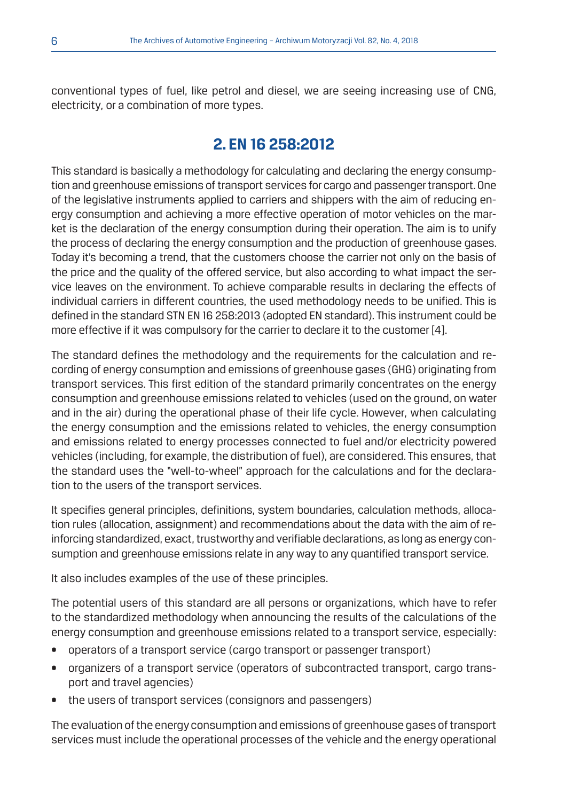conventional types of fuel, like petrol and diesel, we are seeing increasing use of CNG, electricity, or a combination of more types.

## **2. EN 16 258:2012**

This standard is basically a methodology for calculating and declaring the energy consumption and greenhouse emissions of transport services for cargo and passenger transport. One of the legislative instruments applied to carriers and shippers with the aim of reducing energy consumption and achieving a more effective operation of motor vehicles on the market is the declaration of the energy consumption during their operation. The aim is to unify the process of declaring the energy consumption and the production of greenhouse gases. Today it's becoming a trend, that the customers choose the carrier not only on the basis of the price and the quality of the offered service, but also according to what impact the service leaves on the environment. To achieve comparable results in declaring the effects of individual carriers in different countries, the used methodology needs to be unified. This is defined in the standard STN EN 16 258:2013 (adopted EN standard). This instrument could be more effective if it was compulsory for the carrier to declare it to the customer [4].

The standard defines the methodology and the requirements for the calculation and recording of energy consumption and emissions of greenhouse gases (GHG) originating from transport services. This first edition of the standard primarily concentrates on the energy consumption and greenhouse emissions related to vehicles (used on the ground, on water and in the air) during the operational phase of their life cycle. However, when calculating the energy consumption and the emissions related to vehicles, the energy consumption and emissions related to energy processes connected to fuel and/or electricity powered vehicles (including, for example, the distribution of fuel), are considered. This ensures, that the standard uses the "well-to-wheel" approach for the calculations and for the declaration to the users of the transport services.

It specifies general principles, definitions, system boundaries, calculation methods, allocation rules (allocation, assignment) and recommendations about the data with the aim of reinforcing standardized, exact, trustworthy and verifiable declarations, as long as energy consumption and greenhouse emissions relate in any way to any quantified transport service.

It also includes examples of the use of these principles.

The potential users of this standard are all persons or organizations, which have to refer to the standardized methodology when announcing the results of the calculations of the energy consumption and greenhouse emissions related to a transport service, especially:

- operators of a transport service (cargo transport or passenger transport)
- organizers of a transport service (operators of subcontracted transport, cargo transport and travel agencies)
- the users of transport services (consignors and passengers)

The evaluation of the energy consumption and emissions of greenhouse gases of transport services must include the operational processes of the vehicle and the energy operational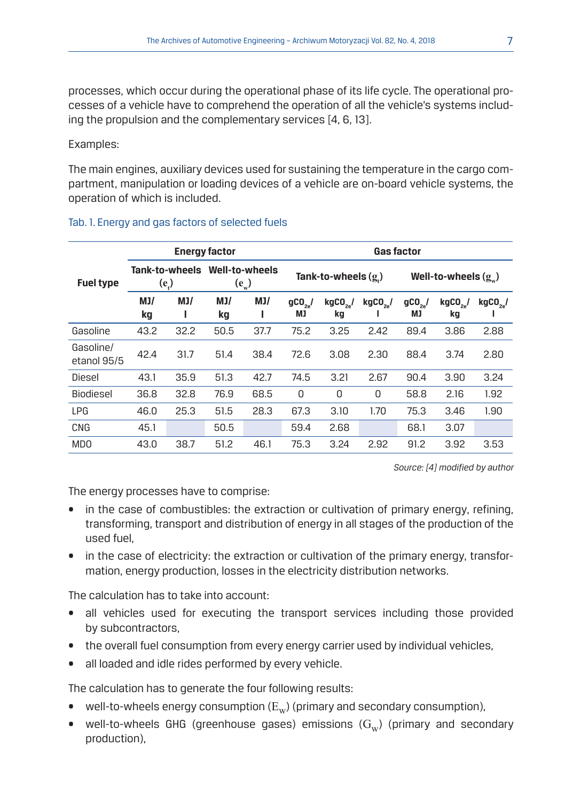processes, which occur during the operational phase of its life cycle. The operational processes of a vehicle have to comprehend the operation of all the vehicle's systems including the propulsion and the complementary services [4, 6, 13].

#### Examples:

The main engines, auxiliary devices used for sustaining the temperature in the cargo compartment, manipulation or loading devices of a vehicle are on-board vehicle systems, the operation of which is included.

|                          | <b>Energy factor</b>      |      |                             |          | <b>Gas factor</b>           |                             |                       |                           |                     |               |
|--------------------------|---------------------------|------|-----------------------------|----------|-----------------------------|-----------------------------|-----------------------|---------------------------|---------------------|---------------|
| <b>Fuel type</b>         | Tank-to-wheels<br>$(e_i)$ |      | Well-to-wheels<br>$(e_{w})$ |          | Tank-to-wheels $(g)$        |                             |                       | Well-to-wheels $(g)$      |                     |               |
|                          | MJ/<br>kg                 | MJ/  | MJ/<br>kg                   | MJ/<br>ш | $gC0$ <sub>22</sub> /<br>МJ | $kgCO$ <sub>2</sub> /<br>kg | $kgCO$ <sub>2</sub> / | $gC0$ <sub>20</sub><br>МJ | $kgCO_{32}$ /<br>kg | $kgCO_{32}$ / |
| Gasoline                 | 43.2                      | 32.2 | 50.5                        | 37.7     | 75.2                        | 3.25                        | 2.42                  | 89.4                      | 3.86                | 2.88          |
| Gasoline/<br>etanol 95/5 | 42.4                      | 31.7 | 51.4                        | 38.4     | 72.6                        | 3.08                        | 2.30                  | 88.4                      | 3.74                | 2.80          |
| Diesel                   | 43.1                      | 35.9 | 51.3                        | 42.7     | 74.5                        | 3.21                        | 2.67                  | 90.4                      | 3.90                | 3.24          |
| Biodiesel                | 36.8                      | 32.8 | 76.9                        | 68.5     | 0                           | 0                           | 0                     | 58.8                      | 2.16                | 1.92          |
| <b>LPG</b>               | 46.0                      | 25.3 | 51.5                        | 28.3     | 67.3                        | 3.10                        | 1.70                  | 75.3                      | 3.46                | 1.90          |
| CNG                      | 45.1                      |      | 50.5                        |          | 59.4                        | 2.68                        |                       | 68.1                      | 3.07                |               |
| <b>MDO</b>               | 43.0                      | 38.7 | 51.2                        | 46.1     | 75.3                        | 3.24                        | 2.92                  | 91.2                      | 3.92                | 3.53          |

#### Tab. 1. Energy and gas factors of selected fuels

*Source: [4] modified by author*

The energy processes have to comprise:

- in the case of combustibles: the extraction or cultivation of primary energy, refining, transforming, transport and distribution of energy in all stages of the production of the used fuel,
- in the case of electricity: the extraction or cultivation of the primary energy, transformation, energy production, losses in the electricity distribution networks.

The calculation has to take into account:

- all vehicles used for executing the transport services including those provided by subcontractors,
- the overall fuel consumption from every energy carrier used by individual vehicles,
- all loaded and idle rides performed by every vehicle.

The calculation has to generate the four following results:

- well-to-wheels energy consumption  $(E_w)$  (primary and secondary consumption),
- well-to-wheels GHG (greenhouse gases) emissions  $(G_w)$  (primary and secondary production),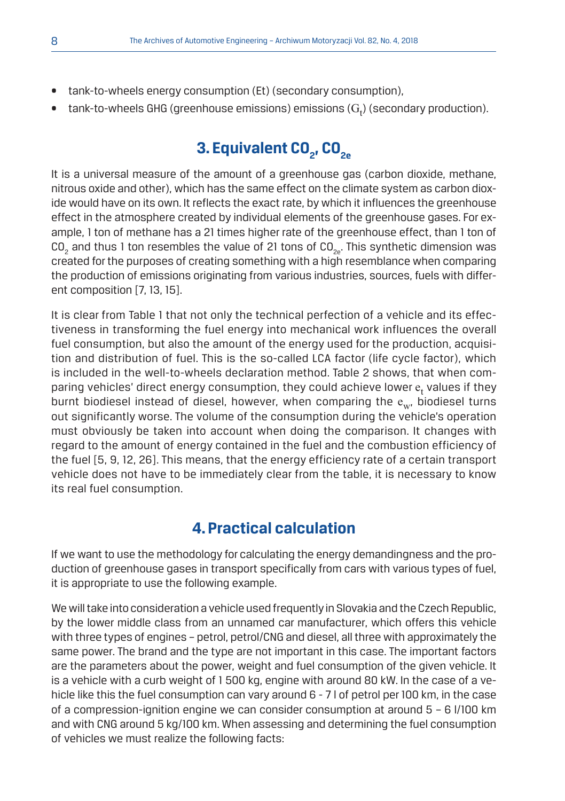- tank-to-wheels energy consumption (Et) (secondary consumption),
- $\bullet$   $\;$  tank-to-wheels GHG (greenhouse emissions) emissions ( $\mathrm{G_{t}}$ ) (secondary production).

## **3. Equivalent CO<sub>2</sub>, CO<sub>2e</sub>**

It is a universal measure of the amount of a greenhouse gas (carbon dioxide, methane, nitrous oxide and other), which has the same effect on the climate system as carbon dioxide would have on its own. It reflects the exact rate, by which it influences the greenhouse effect in the atmosphere created by individual elements of the greenhouse gases. For example, 1 ton of methane has a 21 times higher rate of the greenhouse effect, than 1 ton of CO<sub>2</sub> and thus 1 ton resembles the value of 21 tons of CO<sub>2e</sub>. This synthetic dimension was created for the purposes of creating something with a high resemblance when comparing the production of emissions originating from various industries, sources, fuels with different composition [7, 13, 15].

It is clear from Table 1 that not only the technical perfection of a vehicle and its effectiveness in transforming the fuel energy into mechanical work influences the overall fuel consumption, but also the amount of the energy used for the production, acquisition and distribution of fuel. This is the so-called LCA factor (life cycle factor), which is included in the well-to-wheels declaration method. Table 2 shows, that when comparing vehicles' direct energy consumption, they could achieve lower  ${\mathop{\text{e}}\nolimits_{\text{t}}}$  values if they burnt biodiesel instead of diesel, however, when comparing the  $e_{w}$ , biodiesel turns out significantly worse. The volume of the consumption during the vehicle's operation must obviously be taken into account when doing the comparison. It changes with regard to the amount of energy contained in the fuel and the combustion efficiency of the fuel [5, 9, 12, 26]. This means, that the energy efficiency rate of a certain transport vehicle does not have to be immediately clear from the table, it is necessary to know its real fuel consumption.

## **4. Practical calculation**

If we want to use the methodology for calculating the energy demandingness and the production of greenhouse gases in transport specifically from cars with various types of fuel, it is appropriate to use the following example.

We will take into consideration a vehicle used frequently in Slovakia and the Czech Republic, by the lower middle class from an unnamed car manufacturer, which offers this vehicle with three types of engines – petrol, petrol/CNG and diesel, all three with approximately the same power. The brand and the type are not important in this case. The important factors are the parameters about the power, weight and fuel consumption of the given vehicle. It is a vehicle with a curb weight of 1 500 kg, engine with around 80 kW. In the case of a vehicle like this the fuel consumption can vary around 6 - 7 l of petrol per 100 km, in the case of a compression-ignition engine we can consider consumption at around 5 – 6 l/100 km and with CNG around 5 kg/100 km. When assessing and determining the fuel consumption of vehicles we must realize the following facts: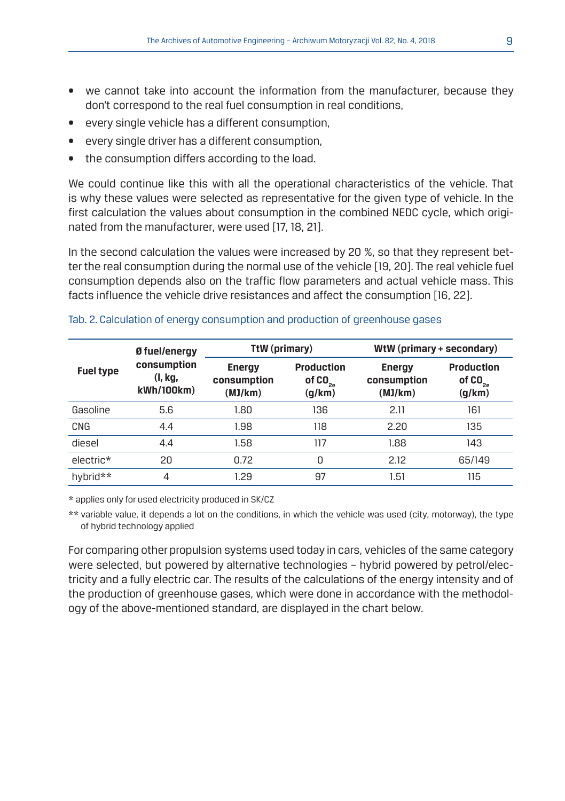- we cannot take into account the information from the manufacturer, because they don't correspond to the real fuel consumption in real conditions,
- every single vehicle has a different consumption,
- every single driver has a different consumption,
- the consumption differs according to the load.

We could continue like this with all the operational characteristics of the vehicle. That is why these values were selected as representative for the given type of vehicle. In the first calculation the values about consumption in the combined NEDC cycle, which originated from the manufacturer, were used [17, 18, 21].

In the second calculation the values were increased by 20 %, so that they represent better the real consumption during the normal use of the vehicle [19, 20]. The real vehicle fuel consumption depends also on the traffic flow parameters and actual vehicle mass. This facts influence the vehicle drive resistances and affect the consumption [16, 22].

|                  | Ø fuel/energy                        | TtW (primary)                           |                                          | WtW (primary + secondary)               |                                             |  |
|------------------|--------------------------------------|-----------------------------------------|------------------------------------------|-----------------------------------------|---------------------------------------------|--|
| <b>Fuel type</b> | consumption<br>(I, kg,<br>kWh/100km) | <b>Energy</b><br>consumption<br>(MJ/km) | <b>Production</b><br>of $CO2a$<br>(g/km) | <b>Energy</b><br>consumption<br>(MJ/km) | <b>Production</b><br>of $CO_{2a}$<br>(g/km) |  |
| Gasoline         | 5.6                                  | 1.80                                    | 136                                      | 2.11                                    | 161                                         |  |
| CNG              | 4.4                                  | 1.98                                    | 118                                      | 2.20                                    | 135                                         |  |
| diesel           | 4.4                                  | 1.58                                    | 117                                      | 1.88                                    | 143                                         |  |
| electric*        | 20                                   | 0.72                                    | 0                                        | 2.12                                    | 65/149                                      |  |
| hybrid**         | $\overline{4}$                       | 1.29                                    | 97                                       | 1.51                                    | 115                                         |  |

#### Tab. 2. Calculation of energy consumption and production of greenhouse gases

\* applies only for used electricity produced in SK/CZ

\*\* variable value, it depends a lot on the conditions, in which the vehicle was used (city, motorway), the type of hybrid technology applied

For comparing other propulsion systems used today in cars, vehicles of the same category were selected, but powered by alternative technologies – hybrid powered by petrol/electricity and a fully electric car. The results of the calculations of the energy intensity and of the production of greenhouse gases, which were done in accordance with the methodology of the above-mentioned standard, are displayed in the chart below.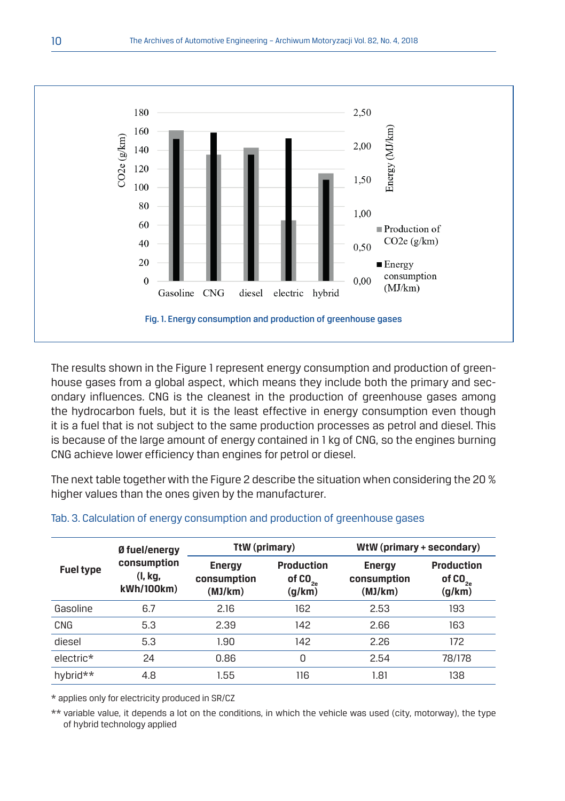

The results shown in the Figure 1 represent energy consumption and production of greenhouse gases from a global aspect, which means they include both the primary and secondary influences. CNG is the cleanest in the production of greenhouse gases among the hydrocarbon fuels, but it is the least effective in energy consumption even though it is a fuel that is not subject to the same production processes as petrol and diesel. This is because of the large amount of energy contained in 1 kg of CNG, so the engines burning CNG achieve lower efficiency than engines for petrol or diesel.

The next table together with the Figure 2 describe the situation when considering the 20 % higher values than the ones given by the manufacturer.

|                  | Ø fuel/energy                        | TtW (primary)                           |                                             | WtW (primary + secondary)               |                                             |  |
|------------------|--------------------------------------|-----------------------------------------|---------------------------------------------|-----------------------------------------|---------------------------------------------|--|
| <b>Fuel type</b> | consumption<br>(I, kg,<br>kWh/100km) | <b>Energy</b><br>consumption<br>(MJ/km) | <b>Production</b><br>of $CO_{2a}$<br>(g/km) | <b>Energy</b><br>consumption<br>(MJ/km) | <b>Production</b><br>of $CO_{2e}$<br>(g/km) |  |
| Gasoline         | 6.7                                  | 2.16                                    | 162                                         | 2.53                                    | 193                                         |  |
| <b>CNG</b>       | 5.3                                  | 2.39                                    | 142                                         | 2.66                                    | 163                                         |  |
| diesel           | 5.3                                  | 1.90                                    | 142                                         | 2.26                                    | 172                                         |  |
| electric*        | 24                                   | 0.86                                    | 0                                           | 2.54                                    | 78/178                                      |  |
| hybrid**         | 4.8                                  | 1.55                                    | 116                                         | 1.81                                    | 138                                         |  |

#### Tab. 3. Calculation of energy consumption and production of greenhouse gases

\* applies only for electricity produced in SR/CZ

\*\* variable value, it depends a lot on the conditions, in which the vehicle was used (city, motorway), the type of hybrid technology applied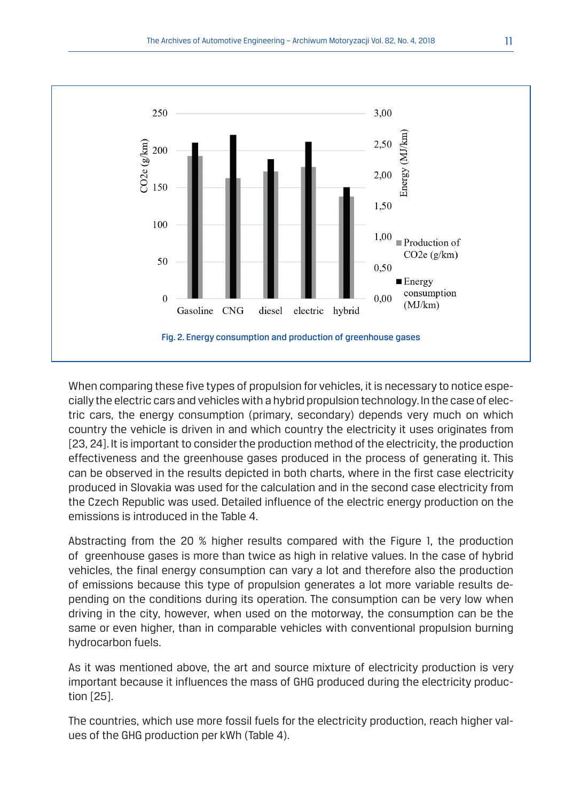

When comparing these five types of propulsion for vehicles, it is necessary to notice especially the electric cars and vehicles with a hybrid propulsion technology. In the case of electric cars, the energy consumption (primary, secondary) depends very much on which country the vehicle is driven in and which country the electricity it uses originates from [23, 24]. It is important to consider the production method of the electricity, the production effectiveness and the greenhouse gases produced in the process of generating it. This can be observed in the results depicted in both charts, where in the first case electricity produced in Slovakia was used for the calculation and in the second case electricity from the Czech Republic was used. Detailed influence of the electric energy production on the emissions is introduced in the Table 4.

Abstracting from the 20 % higher results compared with the Figure 1, the production of greenhouse gases is more than twice as high in relative values. In the case of hybrid vehicles, the final energy consumption can vary a lot and therefore also the production of emissions because this type of propulsion generates a lot more variable results depending on the conditions during its operation. The consumption can be very low when driving in the city, however, when used on the motorway, the consumption can be the same or even higher, than in comparable vehicles with conventional propulsion burning hydrocarbon fuels.

As it was mentioned above, the art and source mixture of electricity production is very important because it influences the mass of GHG produced during the electricity production [25].

The countries, which use more fossil fuels for the electricity production, reach higher values of the GHG production per kWh (Table 4).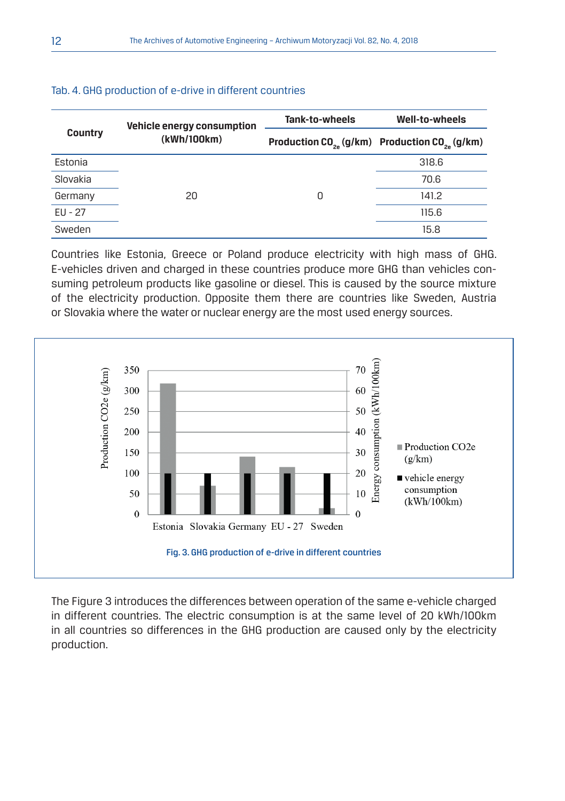| <b>Country</b> | <b>Vehicle energy consumption</b> | Tank-to-wheels | Well-to-wheels                                          |  |
|----------------|-----------------------------------|----------------|---------------------------------------------------------|--|
|                | (kWh/100km)                       |                | Production $CO_{2a}$ (g/km) Production $CO_{2a}$ (g/km) |  |
| Estonia        |                                   |                | 318.6                                                   |  |
| Slovakia       |                                   |                | 70.6                                                    |  |
| Germany        | 20                                | 0              | 141.2                                                   |  |
| EU - 27        |                                   |                | 115.6                                                   |  |
| Sweden         |                                   |                | 15.8                                                    |  |

#### Tab. 4. GHG production of e-drive in different countries

Countries like Estonia, Greece or Poland produce electricity with high mass of GHG. E-vehicles driven and charged in these countries produce more GHG than vehicles consuming petroleum products like gasoline or diesel. This is caused by the source mixture of the electricity production. Opposite them there are countries like Sweden, Austria or Slovakia where the water or nuclear energy are the most used energy sources.



The Figure 3 introduces the differences between operation of the same e-vehicle charged in different countries. The electric consumption is at the same level of 20 kWh/100km in all countries so differences in the GHG production are caused only by the electricity production.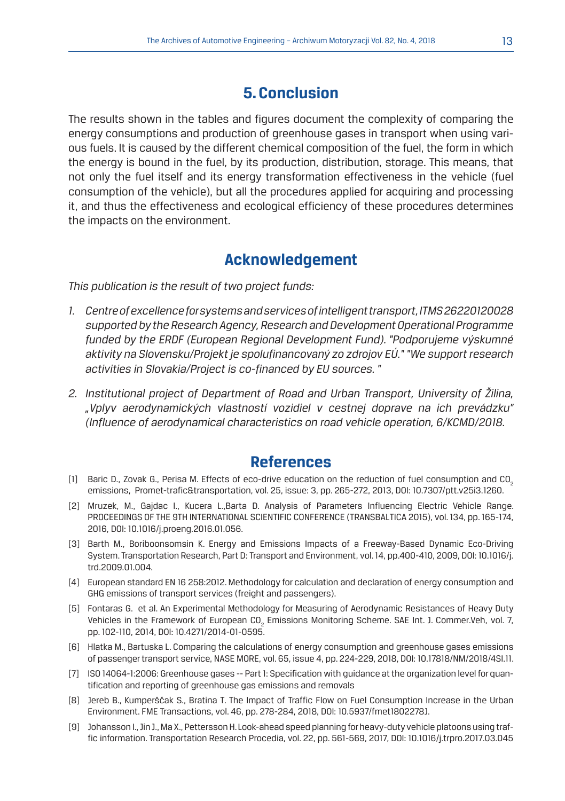## **5. Conclusion**

The results shown in the tables and figures document the complexity of comparing the energy consumptions and production of greenhouse gases in transport when using various fuels. It is caused by the different chemical composition of the fuel, the form in which the energy is bound in the fuel, by its production, distribution, storage. This means, that not only the fuel itself and its energy transformation effectiveness in the vehicle (fuel consumption of the vehicle), but all the procedures applied for acquiring and processing it, and thus the effectiveness and ecological efficiency of these procedures determines the impacts on the environment.

### **Acknowledgement**

*This publication is the result of two project funds:*

- *1. Centre of excellence for systems and services of intelligent transport, ITMS 26220120028 supported by the Research Agency, Research and Development Operational Programme funded by the ERDF (European Regional Development Fund). "Podporujeme výskumné aktivity na Slovensku/Projekt je spolufinancovaný zo zdrojov EÚ." "We support research activities in Slovakia/Project is co-financed by EU sources. "*
- *2. Institutional project of Department of Road and Urban Transport, University of Žilina, "Vplyv aerodynamických vlastností vozidiel v cestnej doprave na ich prevádzku" (Influence of aerodynamical characteristics on road vehicle operation, 6/KCMD/2018.*

### **References**

- [1] Baric D., Zovak G., Perisa M. Effects of eco-drive education on the reduction of fuel consumption and CO<sub>2</sub> emissions, Promet-trafic&transportation, vol. 25, issue: 3, pp. 265-272, 2013, DOI: 10.7307/ptt.v25i3.1260.
- [2] Mruzek, M., Gajdac I., Kucera L.,Barta D. Analysis of Parameters Influencing Electric Vehicle Range. PROCEEDINGS OF THE 9TH INTERNATIONAL SCIENTIFIC CONFERENCE (TRANSBALTICA 2015), vol. 134, pp. 165-174, 2016, DOI: 10.1016/j.proeng.2016.01.056.
- [3] Barth M., Boriboonsomsin K. Energy and Emissions Impacts of a Freeway-Based Dynamic Eco-Driving System. Transportation Research, Part D: Transport and Environment, vol. 14, pp.400-410, 2009, DOI: 10.1016/j. trd.2009.01.004.
- [4] European standard EN 16 258:2012. Methodology for calculation and declaration of energy consumption and GHG emissions of transport services (freight and passengers).
- [5] Fontaras G. et al. An Experimental Methodology for Measuring of Aerodynamic Resistances of Heavy Duty Vehicles in the Framework of European CO<sub>2</sub> Emissions Monitoring Scheme. SAE Int. J. Commer.Veh, vol. 7, pp. 102-110, 2014, DOI: 10.4271/2014-01-0595.
- [6] Hlatka M., Bartuska L. Comparing the calculations of energy consumption and greenhouse gases emissions of passenger transport service, NASE MORE, vol. 65, issue 4, pp. 224-229, 2018, DOI: 10.17818/NM/2018/4SI.11.
- [7] ISO 14064-1:2006: Greenhouse gases -- Part 1: Specification with guidance at the organization level for quantification and reporting of greenhouse gas emissions and removals
- [8] Jereb B., Kumperščak S., Bratina T. The Impact of Traffic Flow on Fuel Consumption Increase in the Urban Environment. FME Transactions, vol. 46, pp. 278-284, 2018, DOI: 10.5937/fmet1802278J.
- [9] Johansson I., Jin J., Ma X., Pettersson H. Look-ahead speed planning for heavy-duty vehicle platoons using traffic information. Transportation Research Procedia, vol. 22, pp. 561-569, 2017, DOI: 10.1016/j.trpro.2017.03.045